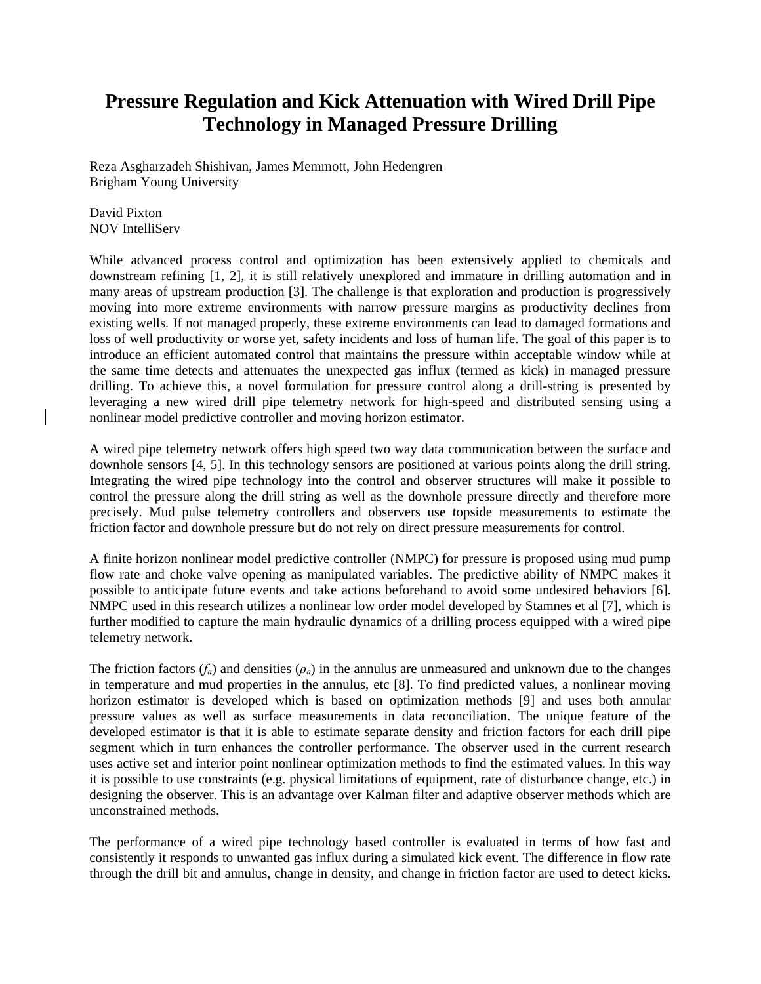## **Pressure Regulation and Kick Attenuation with Wired Drill Pipe Technology in Managed Pressure Drilling**

Reza Asgharzadeh Shishivan, James Memmott, John Hedengren Brigham Young University

David Pixton NOV IntelliServ

While advanced process control and optimization has been extensively applied to chemicals and downstream refining [1, 2], it is still relatively unexplored and immature in drilling automation and in many areas of upstream production [3]. The challenge is that exploration and production is progressively moving into more extreme environments with narrow pressure margins as productivity declines from existing wells. If not managed properly, these extreme environments can lead to damaged formations and loss of well productivity or worse yet, safety incidents and loss of human life. The goal of this paper is to introduce an efficient automated control that maintains the pressure within acceptable window while at the same time detects and attenuates the unexpected gas influx (termed as kick) in managed pressure drilling. To achieve this, a novel formulation for pressure control along a drill-string is presented by leveraging a new wired drill pipe telemetry network for high-speed and distributed sensing using a nonlinear model predictive controller and moving horizon estimator.

A wired pipe telemetry network offers high speed two way data communication between the surface and downhole sensors [4, 5]. In this technology sensors are positioned at various points along the drill string. Integrating the wired pipe technology into the control and observer structures will make it possible to control the pressure along the drill string as well as the downhole pressure directly and therefore more precisely. Mud pulse telemetry controllers and observers use topside measurements to estimate the friction factor and downhole pressure but do not rely on direct pressure measurements for control.

A finite horizon nonlinear model predictive controller (NMPC) for pressure is proposed using mud pump flow rate and choke valve opening as manipulated variables. The predictive ability of NMPC makes it possible to anticipate future events and take actions beforehand to avoid some undesired behaviors [6]. NMPC used in this research utilizes a nonlinear low order model developed by Stamnes et al [7], which is further modified to capture the main hydraulic dynamics of a drilling process equipped with a wired pipe telemetry network.

The friction factors  $(f_a)$  and densities  $(\rho_a)$  in the annulus are unmeasured and unknown due to the changes in temperature and mud properties in the annulus, etc [8]. To find predicted values, a nonlinear moving horizon estimator is developed which is based on optimization methods [9] and uses both annular pressure values as well as surface measurements in data reconciliation. The unique feature of the developed estimator is that it is able to estimate separate density and friction factors for each drill pipe segment which in turn enhances the controller performance. The observer used in the current research uses active set and interior point nonlinear optimization methods to find the estimated values. In this way it is possible to use constraints (e.g. physical limitations of equipment, rate of disturbance change, etc.) in designing the observer. This is an advantage over Kalman filter and adaptive observer methods which are unconstrained methods.

The performance of a wired pipe technology based controller is evaluated in terms of how fast and consistently it responds to unwanted gas influx during a simulated kick event. The difference in flow rate through the drill bit and annulus, change in density, and change in friction factor are used to detect kicks.